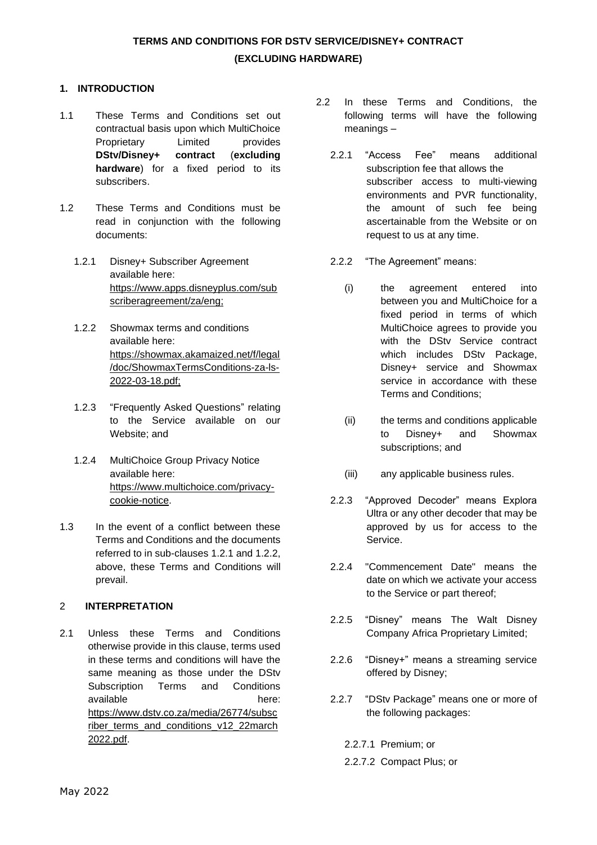### **1. INTRODUCTION**

- 1.1 These Terms and Conditions set out contractual basis upon which MultiChoice Proprietary Limited provides **DStv/Disney+ contract** (**excluding hardware**) for a fixed period to its subscribers.
- 1.2 These Terms and Conditions must be read in conjunction with the following documents:
	- 1.2.1 Disney+ Subscriber Agreement available here: [https://www.apps.disneyplus.com/sub](https://www.apps.disneyplus.com/subscriberagreement/za/eng) [scriberagreement/za/eng;](https://www.apps.disneyplus.com/subscriberagreement/za/eng)
	- 1.2.2 Showmax terms and conditions available here: [https://showmax.akamaized.net/f/legal](https://showmax.akamaized.net/f/legal/doc/ShowmaxTermsConditions-za-ls-2022-03-18.pdf) [/doc/ShowmaxTermsConditions-za-ls-](https://showmax.akamaized.net/f/legal/doc/ShowmaxTermsConditions-za-ls-2022-03-18.pdf)[2022-03-18.pdf;](https://showmax.akamaized.net/f/legal/doc/ShowmaxTermsConditions-za-ls-2022-03-18.pdf)
	- 1.2.3 "Frequently Asked Questions" relating to the Service available on our Website; and
	- 1.2.4 MultiChoice Group Privacy Notice available here: [https://www.multichoice.com/privacy](https://www.multichoice.com/privacy-cookie-notice)[cookie-notice.](https://www.multichoice.com/privacy-cookie-notice)
- 1.3 In the event of a conflict between these Terms and Conditions and the documents referred to in sub-clauses 1.2.1 and 1.2.2, above, these Terms and Conditions will prevail.

### 2 **INTERPRETATION**

2.1 Unless these Terms and Conditions otherwise provide in this clause, terms used in these terms and conditions will have the same meaning as those under the DStv Subscription Terms and Conditions available here: [https://www.dstv.co.za/media/26774/subsc](https://www.dstv.co.za/media/26774/subscriber_terms_and_conditions_v12_22march2022.pdf) [riber\\_terms\\_and\\_conditions\\_v12\\_22march](https://www.dstv.co.za/media/26774/subscriber_terms_and_conditions_v12_22march2022.pdf) [2022.pdf.](https://www.dstv.co.za/media/26774/subscriber_terms_and_conditions_v12_22march2022.pdf)

- 2.2 In these Terms and Conditions, the following terms will have the following meanings –
	- 2.2.1 "Access Fee" means additional subscription fee that allows the subscriber access to multi-viewing environments and PVR functionality, the amount of such fee being ascertainable from the Website or on request to us at any time.
	- 2.2.2 "The Agreement" means:
		- (i) the agreement entered into between you and MultiChoice for a fixed period in terms of which MultiChoice agrees to provide you with the DStv Service contract which includes DSty Package, Disney+ service and Showmax service in accordance with these Terms and Conditions;
		- (ii) the terms and conditions applicable to Disney+ and Showmax subscriptions; and
		- (iii) any applicable business rules.
	- 2.2.3 "Approved Decoder" means Explora Ultra or any other decoder that may be approved by us for access to the Service.
	- 2.2.4 "Commencement Date" means the date on which we activate your access to the Service or part thereof;
	- 2.2.5 "Disney" means The Walt Disney Company Africa Proprietary Limited;
	- 2.2.6 "Disney+" means a streaming service offered by Disney;
	- 2.2.7 "DStv Package" means one or more of the following packages:
		- 2.2.7.1 Premium; or
		- 2.2.7.2 Compact Plus; or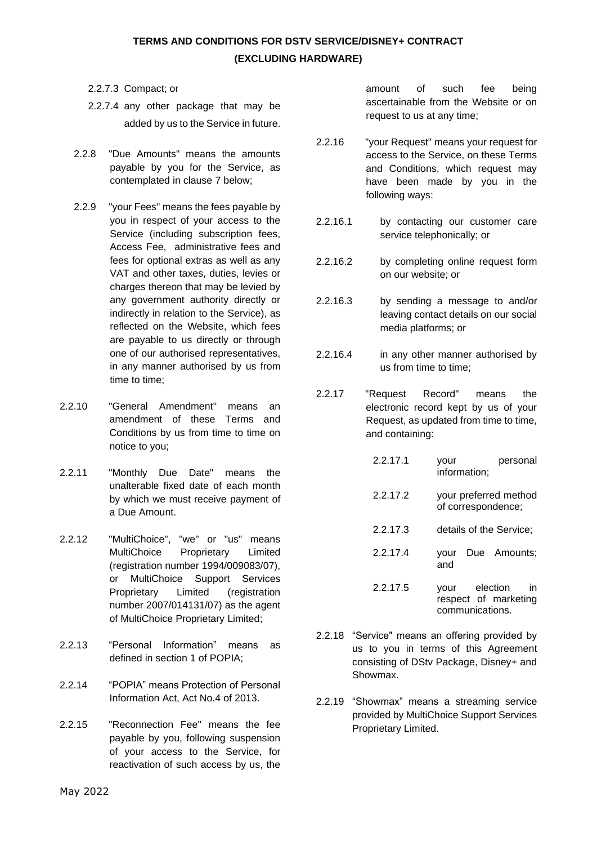- 2.2.7.3 Compact; or
- 2.2.7.4 any other package that may be added by us to the Service in future.
- 2.2.8 "Due Amounts" means the amounts payable by you for the Service, as contemplated in clause 7 below;
- 2.2.9 "your Fees" means the fees payable by you in respect of your access to the Service (including subscription fees, Access Fee, administrative fees and fees for optional extras as well as any VAT and other taxes, duties, levies or charges thereon that may be levied by any government authority directly or indirectly in relation to the Service), as reflected on the Website, which fees are payable to us directly or through one of our authorised representatives, in any manner authorised by us from time to time;
- 2.2.10 "General Amendment" means an amendment of these Terms and Conditions by us from time to time on notice to you;
- 2.2.11 "Monthly Due Date" means the unalterable fixed date of each month by which we must receive payment of a Due Amount.
- 2.2.12 "MultiChoice", "we" or "us" means MultiChoice Proprietary Limited (registration number 1994/009083/07), or MultiChoice Support Services Proprietary Limited (registration number 2007/014131/07) as the agent of MultiChoice Proprietary Limited;
- 2.2.13 "Personal Information" means as defined in section 1 of POPIA;
- 2.2.14 "POPIA" means Protection of Personal Information Act, Act No.4 of 2013.
- 2.2.15 "Reconnection Fee" means the fee payable by you, following suspension of your access to the Service, for reactivation of such access by us, the

amount of such fee being ascertainable from the Website or on request to us at any time;

- 2.2.16 "your Request" means your request for access to the Service, on these Terms and Conditions, which request may have been made by you in the following ways:
- 2.2.16.1 by contacting our customer care service telephonically; or
- 2.2.16.2 by completing online request form on our website; or
- 2.2.16.3 by sending a message to and/or leaving contact details on our social media platforms; or
- 2.2.16.4 in any other manner authorised by us from time to time;
- 2.2.17 "Request Record" means the electronic record kept by us of your Request, as updated from time to time, and containing:

| 22171    | personal<br>your<br>information;                                  |
|----------|-------------------------------------------------------------------|
| 22172    | your preferred method<br>of correspondence;                       |
| 2.2.17.3 | details of the Service;                                           |
| 22174    | Due Amounts:<br>vour<br>and                                       |
| 2.2.17.5 | election<br>in<br>your<br>respect of marketing<br>communications. |

- 2.2.18 "Service" means an offering provided by us to you in terms of this Agreement consisting of DStv Package, Disney+ and Showmax.
- 2.2.19 "Showmax" means a streaming service provided by MultiChoice Support Services Proprietary Limited.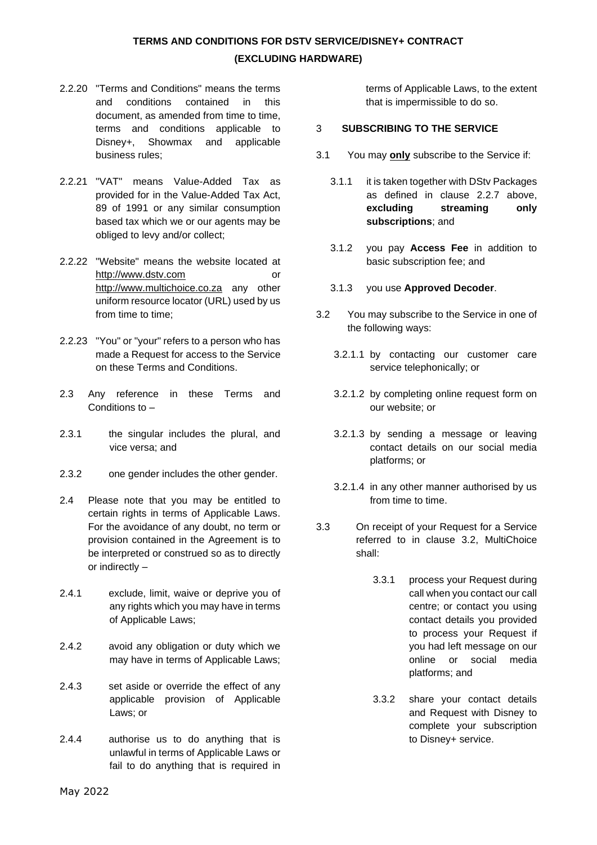- 2.2.20 "Terms and Conditions" means the terms and conditions contained in this document, as amended from time to time. terms and conditions applicable to Disney+, Showmax and applicable business rules;
- 2.2.21 "VAT" means Value-Added Tax as provided for in the Value-Added Tax Act, 89 of 1991 or any similar consumption based tax which we or our agents may be obliged to levy and/or collect;
- 2.2.22 "Website" means the website located at [http://www.dstv.com](http://www.dstv.com/) or [http://www.multichoice.co.za](http://www.multichoice.co.za/) any other uniform resource locator (URL) used by us from time to time;
- 2.2.23 "You" or "your" refers to a person who has made a Request for access to the Service on these Terms and Conditions.
- 2.3 Any reference in these Terms and Conditions to –
- 2.3.1 the singular includes the plural, and vice versa; and
- 2.3.2 one gender includes the other gender.
- 2.4 Please note that you may be entitled to certain rights in terms of Applicable Laws. For the avoidance of any doubt, no term or provision contained in the Agreement is to be interpreted or construed so as to directly or indirectly –
- 2.4.1 exclude, limit, waive or deprive you of any rights which you may have in terms of Applicable Laws;
- 2.4.2 avoid any obligation or duty which we may have in terms of Applicable Laws;
- 2.4.3 set aside or override the effect of any applicable provision of Applicable Laws; or
- 2.4.4 authorise us to do anything that is unlawful in terms of Applicable Laws or fail to do anything that is required in

terms of Applicable Laws, to the extent that is impermissible to do so.

#### 3 **SUBSCRIBING TO THE SERVICE**

- 3.1 You may **only** subscribe to the Service if:
	- 3.1.1 it is taken together with DStv Packages as defined in clause 2.2.7 above, **excluding streaming only subscriptions**; and
	- 3.1.2 you pay **Access Fee** in addition to basic subscription fee; and
	- 3.1.3 you use **Approved Decoder**.
- 3.2 You may subscribe to the Service in one of the following ways:
	- 3.2.1.1 by contacting our customer care service telephonically; or
	- 3.2.1.2 by completing online request form on our website; or
	- 3.2.1.3 by sending a message or leaving contact details on our social media platforms; or
	- 3.2.1.4 in any other manner authorised by us from time to time.
- 3.3 On receipt of your Request for a Service referred to in clause 3.2, MultiChoice shall:
	- 3.3.1 process your Request during call when you contact our call centre; or contact you using contact details you provided to process your Request if you had left message on our online or social media platforms; and
	- 3.3.2 share your contact details and Request with Disney to complete your subscription to Disney+ service.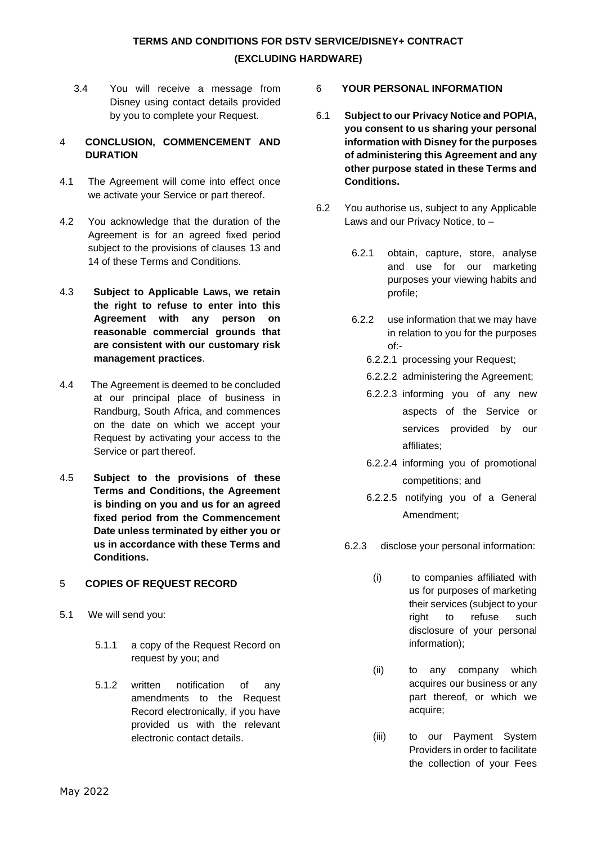3.4 You will receive a message from Disney using contact details provided by you to complete your Request.

### 4 **CONCLUSION, COMMENCEMENT AND DURATION**

- 4.1 The Agreement will come into effect once we activate your Service or part thereof.
- 4.2 You acknowledge that the duration of the Agreement is for an agreed fixed period subject to the provisions of clauses 13 and 14 of these Terms and Conditions.
- 4.3 **Subject to Applicable Laws, we retain the right to refuse to enter into this Agreement with any person on reasonable commercial grounds that are consistent with our customary risk management practices**.
- 4.4 The Agreement is deemed to be concluded at our principal place of business in Randburg, South Africa, and commences on the date on which we accept your Request by activating your access to the Service or part thereof.
- 4.5 **Subject to the provisions of these Terms and Conditions, the Agreement is binding on you and us for an agreed fixed period from the Commencement Date unless terminated by either you or us in accordance with these Terms and Conditions.**

## 5 **COPIES OF REQUEST RECORD**

- 5.1 We will send you:
	- 5.1.1 a copy of the Request Record on request by you; and
	- 5.1.2 written notification of any amendments to the Request Record electronically, if you have provided us with the relevant electronic contact details.
- 6 **YOUR PERSONAL INFORMATION**
- 6.1 **Subject to our Privacy Notice and POPIA, you consent to us sharing your personal information with Disney for the purposes of administering this Agreement and any other purpose stated in these Terms and Conditions.**
- 6.2 You authorise us, subject to any Applicable Laws and our Privacy Notice, to –
	- 6.2.1 obtain, capture, store, analyse and use for our marketing purposes your viewing habits and profile;
	- 6.2.2 use information that we may have in relation to you for the purposes of:-
		- 6.2.2.1 processing your Request;
		- 6.2.2.2 administering the Agreement;
		- 6.2.2.3 informing you of any new aspects of the Service or services provided by our affiliates;
		- 6.2.2.4 informing you of promotional competitions; and
		- 6.2.2.5 notifying you of a General Amendment;
	- 6.2.3 disclose your personal information:
		- (i) to companies affiliated with us for purposes of marketing their services (subject to your right to refuse such disclosure of your personal information);
		- (ii) to any company which acquires our business or any part thereof, or which we acquire;
		- (iii) to our Payment System Providers in order to facilitate the collection of your Fees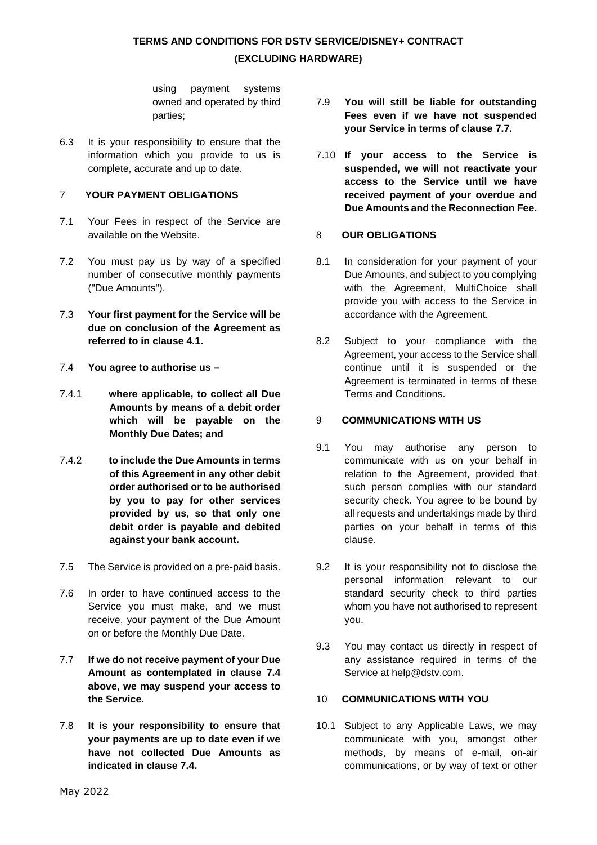using payment systems owned and operated by third parties;

6.3 It is your responsibility to ensure that the information which you provide to us is complete, accurate and up to date.

### 7 **YOUR PAYMENT OBLIGATIONS**

- 7.1 Your Fees in respect of the Service are available on the Website.
- 7.2 You must pay us by way of a specified number of consecutive monthly payments ("Due Amounts").
- 7.3 **Your first payment for the Service will be due on conclusion of the Agreement as referred to in clause 4.1.**
- 7.4 **You agree to authorise us –**
- 7.4.1 **where applicable, to collect all Due Amounts by means of a debit order which will be payable on the Monthly Due Dates; and**
- 7.4.2 **to include the Due Amounts in terms of this Agreement in any other debit order authorised or to be authorised by you to pay for other services provided by us, so that only one debit order is payable and debited against your bank account.**
- 7.5 The Service is provided on a pre-paid basis.
- 7.6 In order to have continued access to the Service you must make, and we must receive, your payment of the Due Amount on or before the Monthly Due Date.
- 7.7 **If we do not receive payment of your Due Amount as contemplated in clause 7.4 above, we may suspend your access to the Service.**
- 7.8 **It is your responsibility to ensure that your payments are up to date even if we have not collected Due Amounts as indicated in clause 7.4.**
- 7.9 **You will still be liable for outstanding Fees even if we have not suspended your Service in terms of clause 7.7.**
- 7.10 **If your access to the Service is suspended, we will not reactivate your access to the Service until we have received payment of your overdue and Due Amounts and the Reconnection Fee.**

### 8 **OUR OBLIGATIONS**

- 8.1 In consideration for your payment of your Due Amounts, and subject to you complying with the Agreement, MultiChoice shall provide you with access to the Service in accordance with the Agreement.
- 8.2 Subject to your compliance with the Agreement, your access to the Service shall continue until it is suspended or the Agreement is terminated in terms of these Terms and Conditions.

### 9 **COMMUNICATIONS WITH US**

- 9.1 You may authorise any person to communicate with us on your behalf in relation to the Agreement, provided that such person complies with our standard security check. You agree to be bound by all requests and undertakings made by third parties on your behalf in terms of this clause.
- 9.2 It is your responsibility not to disclose the personal information relevant to our standard security check to third parties whom you have not authorised to represent you.
- 9.3 You may contact us directly in respect of any assistance required in terms of the Service at [help@dstv.com.](mailto:help@dstv.com)

## 10 **COMMUNICATIONS WITH YOU**

10.1 Subject to any Applicable Laws, we may communicate with you, amongst other methods, by means of e-mail, on-air communications, or by way of text or other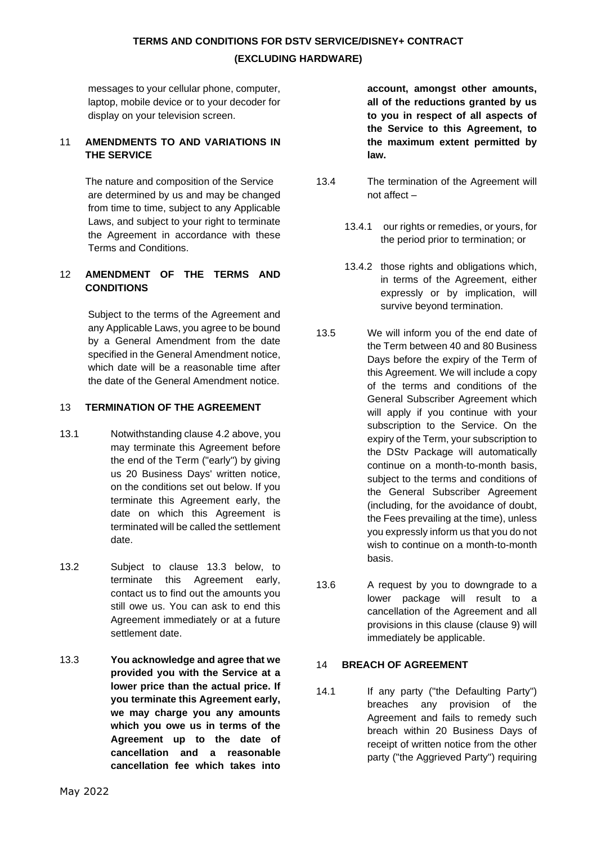messages to your cellular phone, computer, laptop, mobile device or to your decoder for display on your television screen.

### 11 **AMENDMENTS TO AND VARIATIONS IN THE SERVICE**

The nature and composition of the Service are determined by us and may be changed from time to time, subject to any Applicable Laws, and subject to your right to terminate the Agreement in accordance with these Terms and Conditions.

### 12 **AMENDMENT OF THE TERMS AND CONDITIONS**

Subject to the terms of the Agreement and any Applicable Laws, you agree to be bound by a General Amendment from the date specified in the General Amendment notice, which date will be a reasonable time after the date of the General Amendment notice.

### 13 **TERMINATION OF THE AGREEMENT**

- 13.1 Notwithstanding clause 4.2 above, you may terminate this Agreement before the end of the Term ("early") by giving us 20 Business Days' written notice, on the conditions set out below. If you terminate this Agreement early, the date on which this Agreement is terminated will be called the settlement date.
- 13.2 Subject to clause 13.3 below, to terminate this Agreement early, contact us to find out the amounts you still owe us. You can ask to end this Agreement immediately or at a future settlement date.
- 13.3 **You acknowledge and agree that we provided you with the Service at a lower price than the actual price. If you terminate this Agreement early, we may charge you any amounts which you owe us in terms of the Agreement up to the date of cancellation and a reasonable cancellation fee which takes into**

**account, amongst other amounts, all of the reductions granted by us to you in respect of all aspects of the Service to this Agreement, to the maximum extent permitted by law.** 

- 13.4 The termination of the Agreement will not affect –
	- 13.4.1 our rights or remedies, or yours, for the period prior to termination; or
	- 13.4.2 those rights and obligations which, in terms of the Agreement, either expressly or by implication, will survive beyond termination.
- 13.5 We will inform you of the end date of the Term between 40 and 80 Business Days before the expiry of the Term of this Agreement. We will include a copy of the terms and conditions of the General Subscriber Agreement which will apply if you continue with your subscription to the Service. On the expiry of the Term, your subscription to the DStv Package will automatically continue on a month-to-month basis, subject to the terms and conditions of the General Subscriber Agreement (including, for the avoidance of doubt, the Fees prevailing at the time), unless you expressly inform us that you do not wish to continue on a month-to-month basis.
- 13.6 A request by you to downgrade to a lower package will result to a cancellation of the Agreement and all provisions in this clause (clause 9) will immediately be applicable.

#### 14 **BREACH OF AGREEMENT**

14.1 If any party ("the Defaulting Party") breaches any provision of the Agreement and fails to remedy such breach within 20 Business Days of receipt of written notice from the other party ("the Aggrieved Party") requiring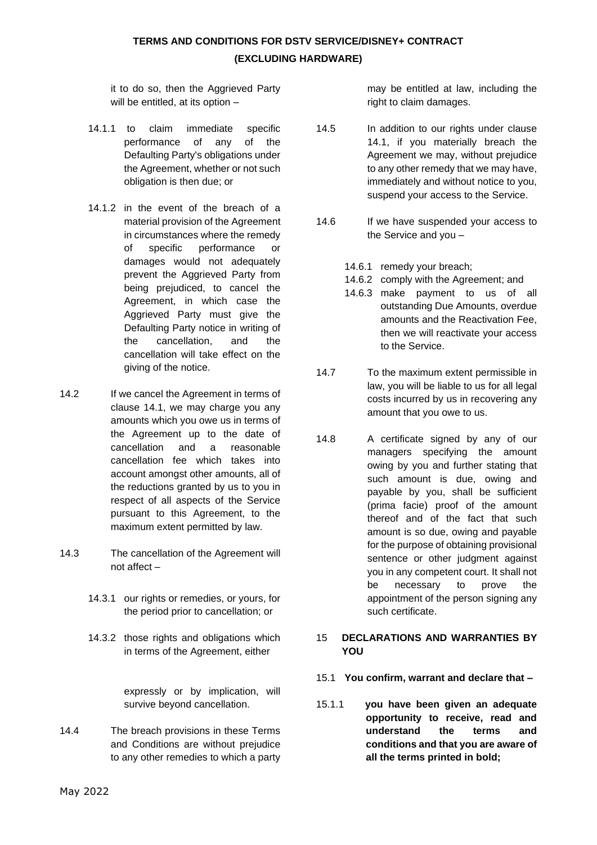it to do so, then the Aggrieved Party will be entitled, at its option -

- 14.1.1 to claim immediate specific performance of any of the Defaulting Party's obligations under the Agreement, whether or not such obligation is then due; or
- 14.1.2 in the event of the breach of a material provision of the Agreement in circumstances where the remedy of specific performance or damages would not adequately prevent the Aggrieved Party from being prejudiced, to cancel the Agreement, in which case the Aggrieved Party must give the Defaulting Party notice in writing of the cancellation, and the cancellation will take effect on the giving of the notice.
- 14.2 If we cancel the Agreement in terms of clause 14.1, we may charge you any amounts which you owe us in terms of the Agreement up to the date of cancellation and a reasonable cancellation fee which takes into account amongst other amounts, all of the reductions granted by us to you in respect of all aspects of the Service pursuant to this Agreement, to the maximum extent permitted by law.
- 14.3 The cancellation of the Agreement will not affect –
	- 14.3.1 our rights or remedies, or yours, for the period prior to cancellation; or
	- 14.3.2 those rights and obligations which in terms of the Agreement, either

expressly or by implication, will survive beyond cancellation.

14.4 The breach provisions in these Terms and Conditions are without prejudice to any other remedies to which a party may be entitled at law, including the right to claim damages.

- 14.5 In addition to our rights under clause 14.1, if you materially breach the Agreement we may, without prejudice to any other remedy that we may have, immediately and without notice to you, suspend your access to the Service.
- 14.6 If we have suspended your access to the Service and you –
	- 14.6.1 remedy your breach;
	- 14.6.2 comply with the Agreement; and
	- 14.6.3 make payment to us of all outstanding Due Amounts, overdue amounts and the Reactivation Fee, then we will reactivate your access to the Service.
- 14.7 To the maximum extent permissible in law, you will be liable to us for all legal costs incurred by us in recovering any amount that you owe to us.
- 14.8 A certificate signed by any of our managers specifying the amount owing by you and further stating that such amount is due, owing and payable by you, shall be sufficient (prima facie) proof of the amount thereof and of the fact that such amount is so due, owing and payable for the purpose of obtaining provisional sentence or other judgment against you in any competent court. It shall not be necessary to prove the appointment of the person signing any such certificate.

### 15 **DECLARATIONS AND WARRANTIES BY YOU**

- 15.1 **You confirm, warrant and declare that –**
- 15.1.1 **you have been given an adequate opportunity to receive, read and understand the terms and conditions and that you are aware of all the terms printed in bold;**